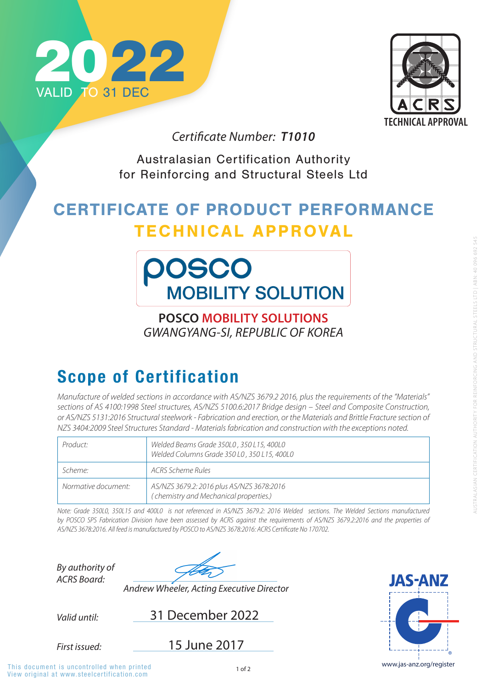View original at www.steelcertification.com This document is uncontrolled when printed



Australasian Certification Authority for Reinforcing and Structural Steels Ltd

## CERTIFICATE OF PRODUCT PERFORMANCE TECHNICAL APPROVAL



*By authority of ACRS Board:*

*Valid until:* 31 December 2022

*First issued:*





*Andrew Wheeler, Acting Executive Director*

## Scope of Certification

*Certificate Number: T1010*

15 June 2017

**POSCO MOBILITY SOLUTIONS** *GWANGYANG-SI, REPUBLIC OF KOREA* 

*Manufacture of welded sections in accordance with AS/NZS 3679.2 2016, plus the requirements of the "Materials" sections of AS 4100:1998 Steel structures, AS/NZS 5100.6:2017 Bridge design – Steel and Composite Construction, or AS/NZS 5131:2016 Structural steelwork - Fabrication and erection, or the Materials and Brittle Fracture section of NZS 3404:2009 Steel Structures Standard - Materials fabrication and construction with the exceptions noted.*

| Product:            | Welded Beams Grade 350L0, 350 L15, 400L0<br>Welded Columns Grade 350 L0, 350 L15, 400L0 |
|---------------------|-----------------------------------------------------------------------------------------|
| Scheme:             | ACRS Scheme Rules                                                                       |
| Normative document: | AS/NZS 3679.2: 2016 plus AS/NZS 3678:2016<br>(chemistry and Mechanical properties.)     |

*Note: Grade 350L0, 350L15 and 400L0 is not referenced in AS/NZS 3679.2: 2016 Welded sections. The Welded Sections manufactured*  by POSCO SPS Fabrication Division have been assessed by ACRS against the requirements of AS/NZS 3679.2:2016 and the properties of *AS/NZS 3678:2016. All feed is manufactured by POSCO to AS/NZS 3678:2016: ACRS Certificate No 170702.*